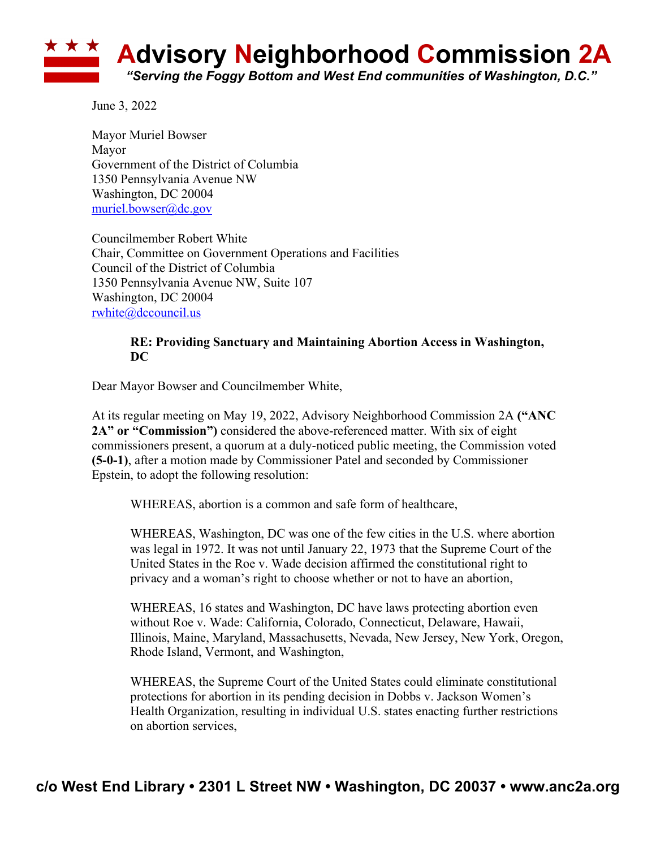

June 3, 2022

Mayor Muriel Bowser Mayor Government of the District of Columbia 1350 Pennsylvania Avenue NW Washington, DC 20004 muriel.bowser@dc.gov

Councilmember Robert White Chair, Committee on Government Operations and Facilities Council of the District of Columbia 1350 Pennsylvania Avenue NW, Suite 107 Washington, DC 20004 rwhite@dccouncil.us

## **RE: Providing Sanctuary and Maintaining Abortion Access in Washington, DC**

Dear Mayor Bowser and Councilmember White,

At its regular meeting on May 19, 2022, Advisory Neighborhood Commission 2A **("ANC 2A" or "Commission")** considered the above-referenced matter. With six of eight commissioners present, a quorum at a duly-noticed public meeting, the Commission voted **(5-0-1)**, after a motion made by Commissioner Patel and seconded by Commissioner Epstein, to adopt the following resolution:

WHEREAS, abortion is a common and safe form of healthcare,

WHEREAS, Washington, DC was one of the few cities in the U.S. where abortion was legal in 1972. It was not until January 22, 1973 that the Supreme Court of the United States in the Roe v. Wade decision affirmed the constitutional right to privacy and a woman's right to choose whether or not to have an abortion,

WHEREAS, 16 states and Washington, DC have laws protecting abortion even without Roe v. Wade: California, Colorado, Connecticut, Delaware, Hawaii, Illinois, Maine, Maryland, Massachusetts, Nevada, New Jersey, New York, Oregon, Rhode Island, Vermont, and Washington,

WHEREAS, the Supreme Court of the United States could eliminate constitutional protections for abortion in its pending decision in Dobbs v. Jackson Women's Health Organization, resulting in individual U.S. states enacting further restrictions on abortion services,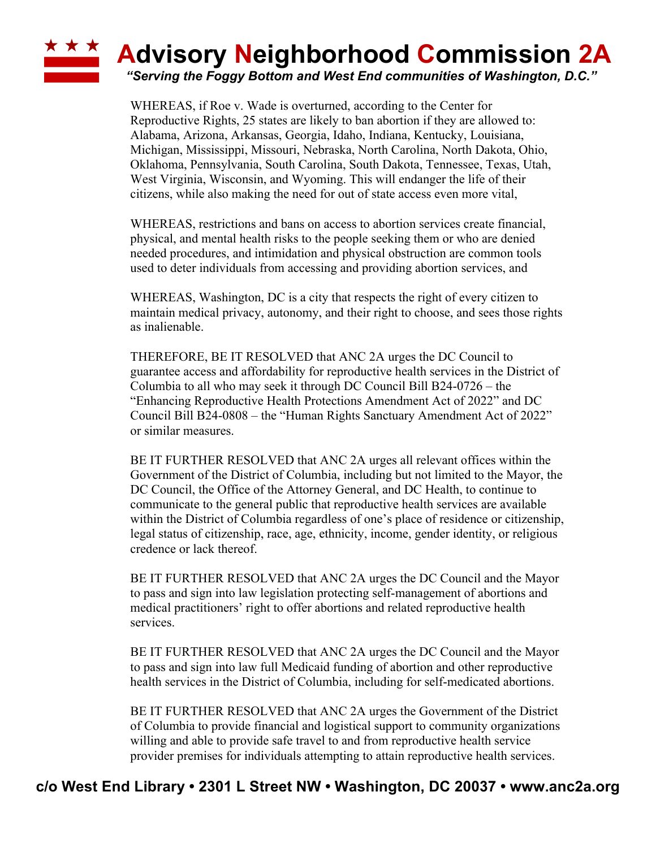## **Advisory Neighborhood Commission 2A**

*"Serving the Foggy Bottom and West End communities of Washington, D.C."*

WHEREAS, if Roe v. Wade is overturned, according to the Center for Reproductive Rights, 25 states are likely to ban abortion if they are allowed to: Alabama, Arizona, Arkansas, Georgia, Idaho, Indiana, Kentucky, Louisiana, Michigan, Mississippi, Missouri, Nebraska, North Carolina, North Dakota, Ohio, Oklahoma, Pennsylvania, South Carolina, South Dakota, Tennessee, Texas, Utah, West Virginia, Wisconsin, and Wyoming. This will endanger the life of their citizens, while also making the need for out of state access even more vital,

WHEREAS, restrictions and bans on access to abortion services create financial, physical, and mental health risks to the people seeking them or who are denied needed procedures, and intimidation and physical obstruction are common tools used to deter individuals from accessing and providing abortion services, and

WHEREAS, Washington, DC is a city that respects the right of every citizen to maintain medical privacy, autonomy, and their right to choose, and sees those rights as inalienable.

THEREFORE, BE IT RESOLVED that ANC 2A urges the DC Council to guarantee access and affordability for reproductive health services in the District of Columbia to all who may seek it through DC Council Bill B24-0726 – the "Enhancing Reproductive Health Protections Amendment Act of 2022" and DC Council Bill B24-0808 – the "Human Rights Sanctuary Amendment Act of 2022" or similar measures.

BE IT FURTHER RESOLVED that ANC 2A urges all relevant offices within the Government of the District of Columbia, including but not limited to the Mayor, the DC Council, the Office of the Attorney General, and DC Health, to continue to communicate to the general public that reproductive health services are available within the District of Columbia regardless of one's place of residence or citizenship, legal status of citizenship, race, age, ethnicity, income, gender identity, or religious credence or lack thereof.

BE IT FURTHER RESOLVED that ANC 2A urges the DC Council and the Mayor to pass and sign into law legislation protecting self-management of abortions and medical practitioners' right to offer abortions and related reproductive health services.

BE IT FURTHER RESOLVED that ANC 2A urges the DC Council and the Mayor to pass and sign into law full Medicaid funding of abortion and other reproductive health services in the District of Columbia, including for self-medicated abortions.

BE IT FURTHER RESOLVED that ANC 2A urges the Government of the District of Columbia to provide financial and logistical support to community organizations willing and able to provide safe travel to and from reproductive health service provider premises for individuals attempting to attain reproductive health services.